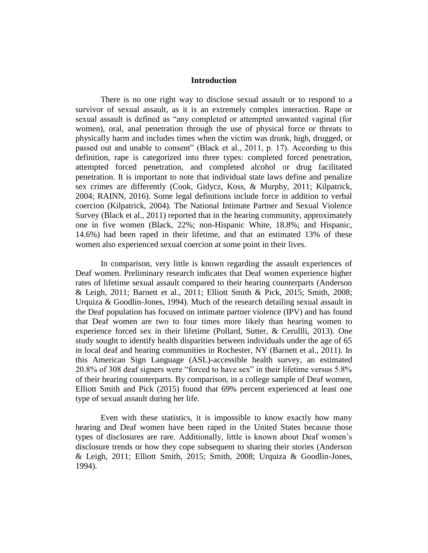## **Introduction**

There is no one right way to disclose sexual assault or to respond to a survivor of sexual assault, as it is an extremely complex interaction. Rape or sexual assault is defined as "any completed or attempted unwanted vaginal (for women), oral, anal penetration through the use of physical force or threats to physically harm and includes times when the victim was drunk, high, drugged, or passed out and unable to consent" (Black et al., 2011, p. 17). According to this definition, rape is categorized into three types: completed forced penetration, attempted forced penetration, and completed alcohol or drug facilitated penetration. It is important to note that individual state laws define and penalize sex crimes are differently (Cook, Gidycz, Koss, & Murphy, 2011; Kilpatrick, 2004; RAINN, 2016). Some legal definitions include force in addition to verbal coercion (Kilpatrick, 2004). The National Intimate Partner and Sexual Violence Survey (Black et al., 2011) reported that in the hearing community, approximately one in five women (Black, 22%; non-Hispanic White, 18.8%; and Hispanic, 14.6%) had been raped in their lifetime, and that an estimated 13% of these women also experienced sexual coercion at some point in their lives.

In comparison, very little is known regarding the assault experiences of Deaf women. Preliminary research indicates that Deaf women experience higher rates of lifetime sexual assault compared to their hearing counterparts (Anderson & Leigh, 2011; Barnett et al., 2011; Elliott Smith & Pick, 2015; Smith, 2008; Urquiza & Goodlin-Jones, 1994). Much of the research detailing sexual assault in the Deaf population has focused on intimate partner violence (IPV) and has found that Deaf women are two to four times more likely than hearing women to experience forced sex in their lifetime (Pollard, Sutter, & Cerullli, 2013). One study sought to identify health disparities between individuals under the age of 65 in local deaf and hearing communities in Rochester, NY (Barnett et al., 2011). In this American Sign Language (ASL)-accessible health survey, an estimated 20.8% of 308 deaf signers were "forced to have sex" in their lifetime versus 5.8% of their hearing counterparts. By comparison, in a college sample of Deaf women, Elliott Smith and Pick (2015) found that 69% percent experienced at least one type of sexual assault during her life.

Even with these statistics, it is impossible to know exactly how many hearing and Deaf women have been raped in the United States because those types of disclosures are rare*.* Additionally, little is known about Deaf women's disclosure trends or how they cope subsequent to sharing their stories (Anderson & Leigh, 2011; Elliott Smith, 2015; Smith, 2008; Urquiza & Goodlin-Jones, 1994).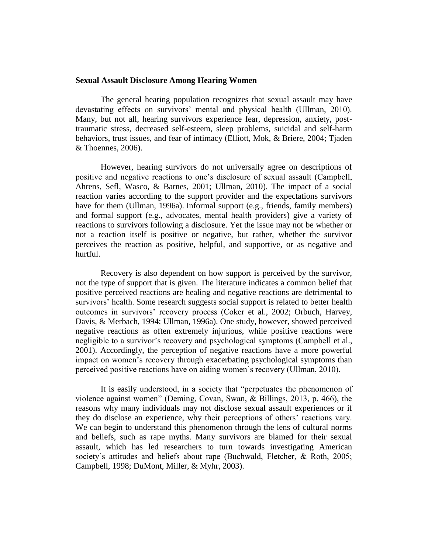## **Sexual Assault Disclosure Among Hearing Women**

The general hearing population recognizes that sexual assault may have devastating effects on survivors' mental and physical health (Ullman, 2010). Many, but not all, hearing survivors experience fear, depression, anxiety, posttraumatic stress, decreased self-esteem, sleep problems, suicidal and self-harm behaviors, trust issues, and fear of intimacy (Elliott, Mok, & Briere, 2004; Tjaden & Thoennes, 2006).

However, hearing survivors do not universally agree on descriptions of positive and negative reactions to one's disclosure of sexual assault (Campbell, Ahrens, Sefl, Wasco, & Barnes, 2001; Ullman, 2010). The impact of a social reaction varies according to the support provider and the expectations survivors have for them (Ullman, 1996a). Informal support (e.g., friends, family members) and formal support (e.g., advocates, mental health providers) give a variety of reactions to survivors following a disclosure. Yet the issue may not be whether or not a reaction itself is positive or negative, but rather, whether the survivor perceives the reaction as positive, helpful, and supportive, or as negative and hurtful.

Recovery is also dependent on how support is perceived by the survivor, not the type of support that is given. The literature indicates a common belief that positive perceived reactions are healing and negative reactions are detrimental to survivors' health. Some research suggests social support is related to better health outcomes in survivors' recovery process (Coker et al., 2002; Orbuch, Harvey, Davis, & Merbach, 1994; Ullman, 1996a). One study, however, showed perceived negative reactions as often extremely injurious, while positive reactions were negligible to a survivor's recovery and psychological symptoms (Campbell et al., 2001). Accordingly, the perception of negative reactions have a more powerful impact on women's recovery through exacerbating psychological symptoms than perceived positive reactions have on aiding women's recovery (Ullman, 2010).

It is easily understood, in a society that "perpetuates the phenomenon of violence against women" (Deming, Covan, Swan, & Billings, 2013, p. 466), the reasons why many individuals may not disclose sexual assault experiences or if they do disclose an experience, why their perceptions of others' reactions vary. We can begin to understand this phenomenon through the lens of cultural norms and beliefs, such as rape myths. Many survivors are blamed for their sexual assault, which has led researchers to turn towards investigating American society's attitudes and beliefs about rape (Buchwald, Fletcher, & Roth, 2005; Campbell, 1998; DuMont, Miller, & Myhr, 2003).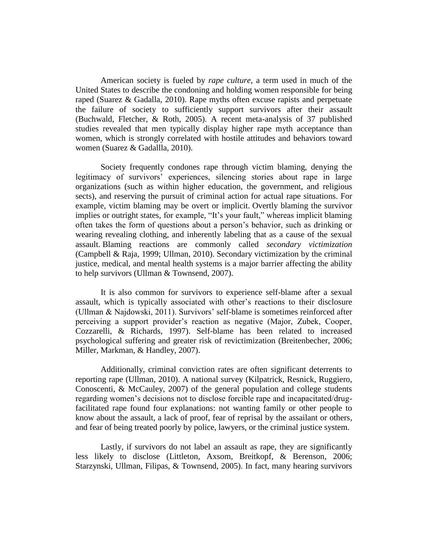American society is fueled by *rape culture*, a term used in much of the United States to describe the condoning and holding women responsible for being raped (Suarez & Gadalla, 2010). Rape myths often excuse rapists and perpetuate the failure of society to sufficiently support survivors after their assault (Buchwald, Fletcher, & Roth, 2005). A recent meta-analysis of 37 published studies revealed that men typically display higher rape myth acceptance than women, which is strongly correlated with hostile attitudes and behaviors toward women (Suarez & Gadallla, 2010).

Society frequently condones rape through victim blaming, denying the legitimacy of survivors' experiences, silencing stories about rape in large organizations (such as within higher education, the government, and religious sects), and reserving the pursuit of criminal action for actual rape situations. For example, victim blaming may be overt or implicit. Overtly blaming the survivor implies or outright states, for example, "It's your fault," whereas implicit blaming often takes the form of questions about a person's behavior, such as drinking or wearing revealing clothing, and inherently labeling that as a cause of the sexual assault. Blaming reactions are commonly called *secondary victimization* (Campbell & Raja, 1999; Ullman, 2010). Secondary victimization by the criminal justice, medical, and mental health systems is a major barrier affecting the ability to help survivors (Ullman & Townsend, 2007).

It is also common for survivors to experience self-blame after a sexual assault, which is typically associated with other's reactions to their disclosure (Ullman & Najdowski, 2011). Survivors' self-blame is sometimes reinforced after perceiving a support provider's reaction as negative (Major, Zubek, Cooper, Cozzarelli, & Richards, 1997). Self-blame has been related to increased psychological suffering and greater risk of revictimization (Breitenbecher, 2006; Miller, Markman, & Handley, 2007).

Additionally, criminal conviction rates are often significant deterrents to reporting rape (Ullman, 2010). A national survey (Kilpatrick, Resnick, Ruggiero, Conoscenti, & McCauley, 2007) of the general population and college students regarding women's decisions not to disclose forcible rape and incapacitated/drugfacilitated rape found four explanations: not wanting family or other people to know about the assault, a lack of proof, fear of reprisal by the assailant or others, and fear of being treated poorly by police, lawyers, or the criminal justice system.

Lastly, if survivors do not label an assault as rape, they are significantly less likely to disclose (Littleton, Axsom, Breitkopf, & Berenson, 2006; Starzynski, Ullman, Filipas, & Townsend, 2005). In fact, many hearing survivors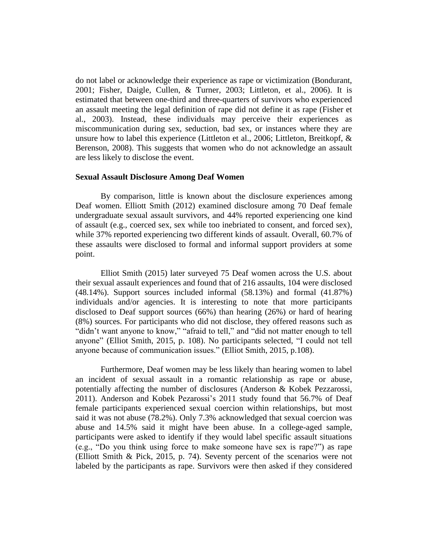do not label or acknowledge their experience as rape or victimization (Bondurant, 2001; Fisher, Daigle, Cullen, & Turner, 2003; Littleton, et al., 2006). It is estimated that between one-third and three-quarters of survivors who experienced an assault meeting the legal definition of rape did not define it as rape (Fisher et al., 2003). Instead, these individuals may perceive their experiences as miscommunication during sex, seduction, bad sex, or instances where they are unsure how to label this experience (Littleton et al., 2006; Littleton, Breitkopf, & Berenson, 2008). This suggests that women who do not acknowledge an assault are less likely to disclose the event.

## **Sexual Assault Disclosure Among Deaf Women**

By comparison, little is known about the disclosure experiences among Deaf women. Elliott Smith (2012) examined disclosure among 70 Deaf female undergraduate sexual assault survivors, and 44% reported experiencing one kind of assault (e.g., coerced sex, sex while too inebriated to consent, and forced sex), while 37% reported experiencing two different kinds of assault. Overall, 60.7% of these assaults were disclosed to formal and informal support providers at some point.

Elliot Smith (2015) later surveyed 75 Deaf women across the U.S. about their sexual assault experiences and found that of 216 assaults, 104 were disclosed (48.14%). Support sources included informal (58.13%) and formal (41.87%) individuals and/or agencies. It is interesting to note that more participants disclosed to Deaf support sources (66%) than hearing (26%) or hard of hearing (8%) sources. For participants who did not disclose, they offered reasons such as "didn't want anyone to know," "afraid to tell," and "did not matter enough to tell anyone" (Elliot Smith, 2015, p. 108). No participants selected, "I could not tell anyone because of communication issues." (Elliot Smith, 2015, p.108).

Furthermore, Deaf women may be less likely than hearing women to label an incident of sexual assault in a romantic relationship as rape or abuse, potentially affecting the number of disclosures (Anderson & Kobek Pezzarossi, 2011). Anderson and Kobek Pezarossi's 2011 study found that 56.7% of Deaf female participants experienced sexual coercion within relationships, but most said it was not abuse (78.2%). Only 7.3% acknowledged that sexual coercion was abuse and 14.5% said it might have been abuse. In a college-aged sample, participants were asked to identify if they would label specific assault situations (e.g., "Do you think using force to make someone have sex is rape?") as rape (Elliott Smith & Pick, 2015, p. 74). Seventy percent of the scenarios were not labeled by the participants as rape. Survivors were then asked if they considered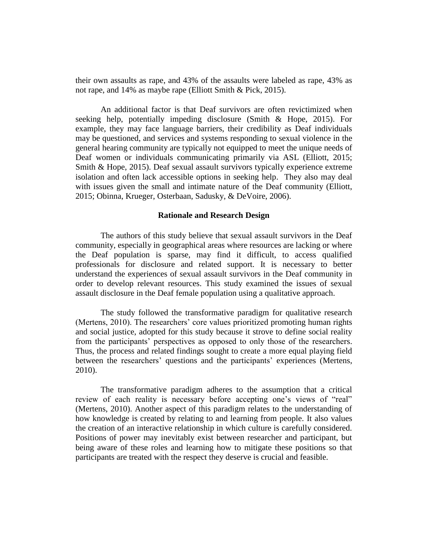their own assaults as rape, and 43% of the assaults were labeled as rape, 43% as not rape, and 14% as maybe rape (Elliott Smith & Pick, 2015).

An additional factor is that Deaf survivors are often revictimized when seeking help, potentially impeding disclosure (Smith & Hope, 2015). For example, they may face language barriers, their credibility as Deaf individuals may be questioned, and services and systems responding to sexual violence in the general hearing community are typically not equipped to meet the unique needs of Deaf women or individuals communicating primarily via ASL (Elliott, 2015; Smith & Hope, 2015). Deaf sexual assault survivors typically experience extreme isolation and often lack accessible options in seeking help. They also may deal with issues given the small and intimate nature of the Deaf community (Elliott, 2015; Obinna, Krueger, Osterbaan, Sadusky, & DeVoire, 2006).

#### **Rationale and Research Design**

The authors of this study believe that sexual assault survivors in the Deaf community, especially in geographical areas where resources are lacking or where the Deaf population is sparse, may find it difficult, to access qualified professionals for disclosure and related support. It is necessary to better understand the experiences of sexual assault survivors in the Deaf community in order to develop relevant resources. This study examined the issues of sexual assault disclosure in the Deaf female population using a qualitative approach.

The study followed the transformative paradigm for qualitative research (Mertens, 2010). The researchers' core values prioritized promoting human rights and social justice, adopted for this study because it strove to define social reality from the participants' perspectives as opposed to only those of the researchers. Thus, the process and related findings sought to create a more equal playing field between the researchers' questions and the participants' experiences (Mertens, 2010).

The transformative paradigm adheres to the assumption that a critical review of each reality is necessary before accepting one's views of "real" (Mertens, 2010). Another aspect of this paradigm relates to the understanding of how knowledge is created by relating to and learning from people. It also values the creation of an interactive relationship in which culture is carefully considered. Positions of power may inevitably exist between researcher and participant, but being aware of these roles and learning how to mitigate these positions so that participants are treated with the respect they deserve is crucial and feasible.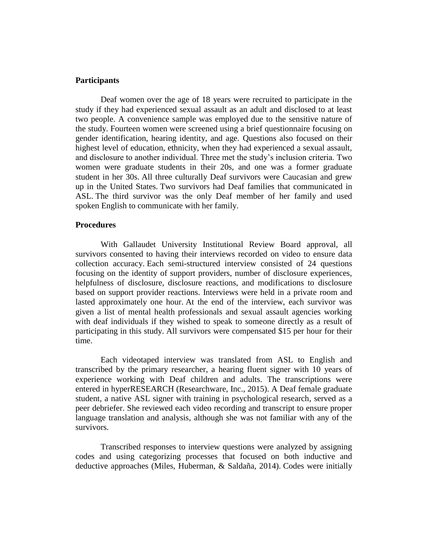## **Participants**

Deaf women over the age of 18 years were recruited to participate in the study if they had experienced sexual assault as an adult and disclosed to at least two people. A convenience sample was employed due to the sensitive nature of the study. Fourteen women were screened using a brief questionnaire focusing on gender identification, hearing identity, and age. Questions also focused on their highest level of education, ethnicity, when they had experienced a sexual assault, and disclosure to another individual. Three met the study's inclusion criteria. Two women were graduate students in their 20s, and one was a former graduate student in her 30s. All three culturally Deaf survivors were Caucasian and grew up in the United States. Two survivors had Deaf families that communicated in ASL. The third survivor was the only Deaf member of her family and used spoken English to communicate with her family.

### **Procedures**

With Gallaudet University Institutional Review Board approval, all survivors consented to having their interviews recorded on video to ensure data collection accuracy. Each semi-structured interview consisted of 24 questions focusing on the identity of support providers, number of disclosure experiences, helpfulness of disclosure, disclosure reactions, and modifications to disclosure based on support provider reactions. Interviews were held in a private room and lasted approximately one hour. At the end of the interview, each survivor was given a list of mental health professionals and sexual assault agencies working with deaf individuals if they wished to speak to someone directly as a result of participating in this study. All survivors were compensated \$15 per hour for their time.

Each videotaped interview was translated from ASL to English and transcribed by the primary researcher, a hearing fluent signer with 10 years of experience working with Deaf children and adults. The transcriptions were entered in hyperRESEARCH (Researchware, Inc., 2015). A Deaf female graduate student, a native ASL signer with training in psychological research, served as a peer debriefer. She reviewed each video recording and transcript to ensure proper language translation and analysis, although she was not familiar with any of the survivors.

Transcribed responses to interview questions were analyzed by assigning codes and using categorizing processes that focused on both inductive and deductive approaches (Miles, Huberman, & Saldaña, 2014). Codes were initially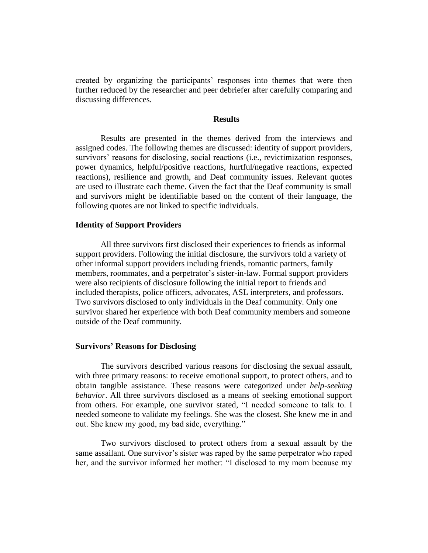created by organizing the participants' responses into themes that were then further reduced by the researcher and peer debriefer after carefully comparing and discussing differences.

## **Results**

Results are presented in the themes derived from the interviews and assigned codes. The following themes are discussed: identity of support providers, survivors' reasons for disclosing, social reactions (i.e., revictimization responses, power dynamics, helpful/positive reactions, hurtful/negative reactions, expected reactions), resilience and growth, and Deaf community issues. Relevant quotes are used to illustrate each theme. Given the fact that the Deaf community is small and survivors might be identifiable based on the content of their language, the following quotes are not linked to specific individuals.

#### **Identity of Support Providers**

All three survivors first disclosed their experiences to friends as informal support providers. Following the initial disclosure, the survivors told a variety of other informal support providers including friends, romantic partners, family members, roommates, and a perpetrator's sister-in-law. Formal support providers were also recipients of disclosure following the initial report to friends and included therapists, police officers, advocates, ASL interpreters, and professors. Two survivors disclosed to only individuals in the Deaf community. Only one survivor shared her experience with both Deaf community members and someone outside of the Deaf community.

#### **Survivors' Reasons for Disclosing**

The survivors described various reasons for disclosing the sexual assault, with three primary reasons: to receive emotional support, to protect others, and to obtain tangible assistance. These reasons were categorized under *help-seeking behavior*. All three survivors disclosed as a means of seeking emotional support from others. For example, one survivor stated, "I needed someone to talk to. I needed someone to validate my feelings. She was the closest. She knew me in and out. She knew my good, my bad side, everything."

Two survivors disclosed to protect others from a sexual assault by the same assailant. One survivor's sister was raped by the same perpetrator who raped her, and the survivor informed her mother: "I disclosed to my mom because my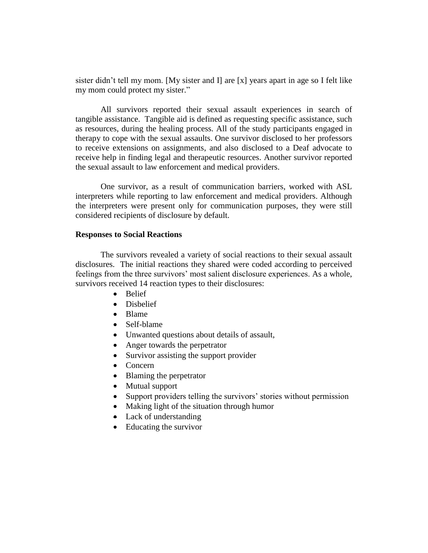sister didn't tell my mom. [My sister and I] are [x] years apart in age so I felt like my mom could protect my sister."

All survivors reported their sexual assault experiences in search of tangible assistance. Tangible aid is defined as requesting specific assistance, such as resources, during the healing process. All of the study participants engaged in therapy to cope with the sexual assaults. One survivor disclosed to her professors to receive extensions on assignments, and also disclosed to a Deaf advocate to receive help in finding legal and therapeutic resources. Another survivor reported the sexual assault to law enforcement and medical providers.

One survivor, as a result of communication barriers, worked with ASL interpreters while reporting to law enforcement and medical providers. Although the interpreters were present only for communication purposes, they were still considered recipients of disclosure by default.

## **Responses to Social Reactions**

The survivors revealed a variety of social reactions to their sexual assault disclosures. The initial reactions they shared were coded according to perceived feelings from the three survivors' most salient disclosure experiences. As a whole, survivors received 14 reaction types to their disclosures:

- Belief
- Disbelief
- Blame
- Self-blame
- Unwanted questions about details of assault,
- Anger towards the perpetrator
- Survivor assisting the support provider
- Concern
- Blaming the perpetrator
- Mutual support
- Support providers telling the survivors' stories without permission
- Making light of the situation through humor
- Lack of understanding
- Educating the survivor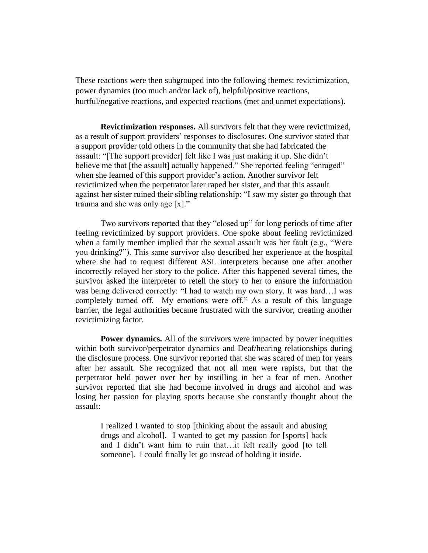These reactions were then subgrouped into the following themes: revictimization, power dynamics (too much and/or lack of), helpful/positive reactions, hurtful/negative reactions, and expected reactions (met and unmet expectations).

**Revictimization responses.** All survivors felt that they were revictimized, as a result of support providers' responses to disclosures. One survivor stated that a support provider told others in the community that she had fabricated the assault: "[The support provider] felt like I was just making it up. She didn't believe me that [the assault] actually happened." She reported feeling "enraged" when she learned of this support provider's action. Another survivor felt revictimized when the perpetrator later raped her sister, and that this assault against her sister ruined their sibling relationship: "I saw my sister go through that trauma and she was only age [x]."

Two survivors reported that they "closed up" for long periods of time after feeling revictimized by support providers. One spoke about feeling revictimized when a family member implied that the sexual assault was her fault (e.g., "Were you drinking?"). This same survivor also described her experience at the hospital where she had to request different ASL interpreters because one after another incorrectly relayed her story to the police. After this happened several times, the survivor asked the interpreter to retell the story to her to ensure the information was being delivered correctly: "I had to watch my own story. It was hard…I was completely turned off. My emotions were off." As a result of this language barrier, the legal authorities became frustrated with the survivor, creating another revictimizing factor.

**Power dynamics.** All of the survivors were impacted by power inequities within both survivor/perpetrator dynamics and Deaf/hearing relationships during the disclosure process. One survivor reported that she was scared of men for years after her assault. She recognized that not all men were rapists, but that the perpetrator held power over her by instilling in her a fear of men. Another survivor reported that she had become involved in drugs and alcohol and was losing her passion for playing sports because she constantly thought about the assault:

I realized I wanted to stop [thinking about the assault and abusing drugs and alcohol]. I wanted to get my passion for [sports] back and I didn't want him to ruin that…it felt really good [to tell someone]. I could finally let go instead of holding it inside.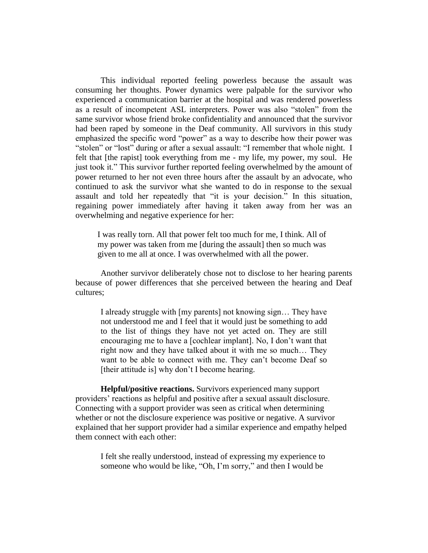This individual reported feeling powerless because the assault was consuming her thoughts. Power dynamics were palpable for the survivor who experienced a communication barrier at the hospital and was rendered powerless as a result of incompetent ASL interpreters. Power was also "stolen" from the same survivor whose friend broke confidentiality and announced that the survivor had been raped by someone in the Deaf community. All survivors in this study emphasized the specific word "power" as a way to describe how their power was "stolen" or "lost" during or after a sexual assault: "I remember that whole night. I felt that [the rapist] took everything from me - my life, my power, my soul. He just took it." This survivor further reported feeling overwhelmed by the amount of power returned to her not even three hours after the assault by an advocate, who continued to ask the survivor what she wanted to do in response to the sexual assault and told her repeatedly that "it is your decision." In this situation, regaining power immediately after having it taken away from her was an overwhelming and negative experience for her:

I was really torn. All that power felt too much for me, I think. All of my power was taken from me [during the assault] then so much was given to me all at once. I was overwhelmed with all the power.

Another survivor deliberately chose not to disclose to her hearing parents because of power differences that she perceived between the hearing and Deaf cultures;

I already struggle with [my parents] not knowing sign… They have not understood me and I feel that it would just be something to add to the list of things they have not yet acted on. They are still encouraging me to have a [cochlear implant]. No, I don't want that right now and they have talked about it with me so much… They want to be able to connect with me. They can't become Deaf so [their attitude is] why don't I become hearing.

**Helpful/positive reactions.** Survivors experienced many support providers' reactions as helpful and positive after a sexual assault disclosure. Connecting with a support provider was seen as critical when determining whether or not the disclosure experience was positive or negative. A survivor explained that her support provider had a similar experience and empathy helped them connect with each other:

I felt she really understood, instead of expressing my experience to someone who would be like, "Oh, I'm sorry," and then I would be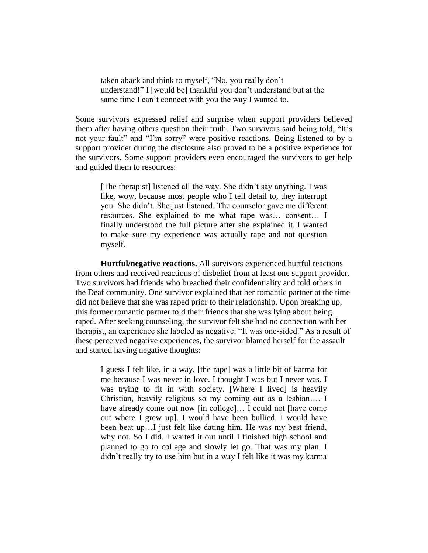taken aback and think to myself, "No, you really don't understand!" I [would be] thankful you don't understand but at the same time I can't connect with you the way I wanted to.

Some survivors expressed relief and surprise when support providers believed them after having others question their truth. Two survivors said being told, "It's not your fault" and "I'm sorry" were positive reactions. Being listened to by a support provider during the disclosure also proved to be a positive experience for the survivors. Some support providers even encouraged the survivors to get help and guided them to resources:

[The therapist] listened all the way. She didn't say anything. I was like, wow, because most people who I tell detail to, they interrupt you. She didn't. She just listened. The counselor gave me different resources. She explained to me what rape was… consent… I finally understood the full picture after she explained it. I wanted to make sure my experience was actually rape and not question myself.

**Hurtful/negative reactions.** All survivors experienced hurtful reactions from others and received reactions of disbelief from at least one support provider. Two survivors had friends who breached their confidentiality and told others in the Deaf community. One survivor explained that her romantic partner at the time did not believe that she was raped prior to their relationship. Upon breaking up, this former romantic partner told their friends that she was lying about being raped. After seeking counseling, the survivor felt she had no connection with her therapist, an experience she labeled as negative: "It was one-sided." As a result of these perceived negative experiences, the survivor blamed herself for the assault and started having negative thoughts:

I guess I felt like, in a way, [the rape] was a little bit of karma for me because I was never in love. I thought I was but I never was. I was trying to fit in with society. [Where I lived] is heavily Christian, heavily religious so my coming out as a lesbian…. I have already come out now [in college]... I could not [have come out where I grew up]. I would have been bullied. I would have been beat up…I just felt like dating him. He was my best friend, why not. So I did. I waited it out until I finished high school and planned to go to college and slowly let go. That was my plan. I didn't really try to use him but in a way I felt like it was my karma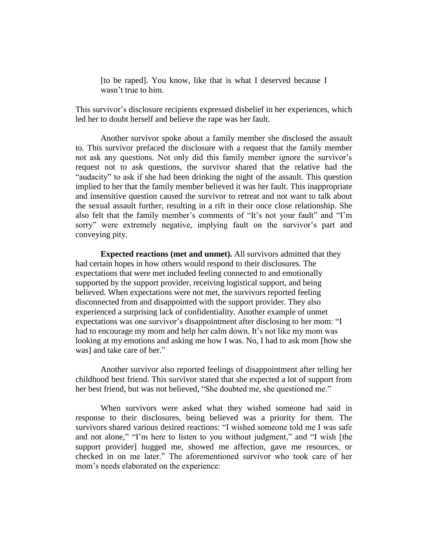[to be raped]. You know, like that is what I deserved because I wasn't true to him.

This survivor's disclosure recipients expressed disbelief in her experiences, which led her to doubt herself and believe the rape was her fault.

Another survivor spoke about a family member she disclosed the assault to. This survivor prefaced the disclosure with a request that the family member not ask any questions. Not only did this family member ignore the survivor's request not to ask questions, the survivor shared that the relative had the "audacity" to ask if she had been drinking the night of the assault. This question implied to her that the family member believed it was her fault. This inappropriate and insensitive question caused the survivor to retreat and not want to talk about the sexual assault further, resulting in a rift in their once close relationship. She also felt that the family member's comments of "It's not your fault" and "I'm sorry" were extremely negative, implying fault on the survivor's part and conveying pity.

**Expected reactions (met and unmet).** All survivors admitted that they had certain hopes in how others would respond to their disclosures. The expectations that were met included feeling connected to and emotionally supported by the support provider, receiving logistical support, and being believed. When expectations were not met, the survivors reported feeling disconnected from and disappointed with the support provider. They also experienced a surprising lack of confidentiality. Another example of unmet expectations was one survivor's disappointment after disclosing to her mom: "I had to encourage my mom and help her calm down. It's not like my mom was looking at my emotions and asking me how I was. No, I had to ask mom [how she was] and take care of her."

Another survivor also reported feelings of disappointment after telling her childhood best friend. This survivor stated that she expected a lot of support from her best friend, but was not believed, "She doubted me, she questioned me."

When survivors were asked what they wished someone had said in response to their disclosures, being believed was a priority for them. The survivors shared various desired reactions: "I wished someone told me I was safe and not alone," "I'm here to listen to you without judgment," and "I wish [the support provider] hugged me, showed me affection, gave me resources, or checked in on me later." The aforementioned survivor who took care of her mom's needs elaborated on the experience: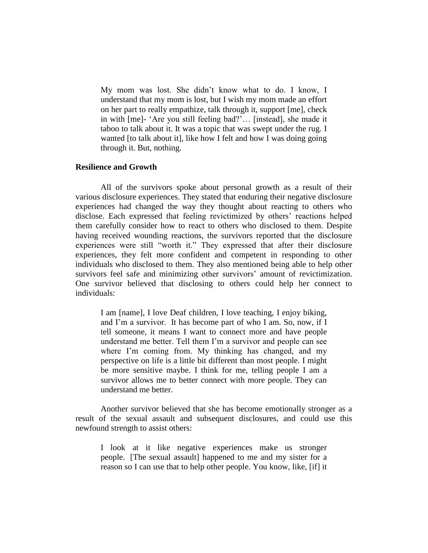My mom was lost. She didn't know what to do. I know, I understand that my mom is lost, but I wish my mom made an effort on her part to really empathize, talk through it, support [me], check in with [me]- 'Are you still feeling bad?'… [instead], she made it taboo to talk about it. It was a topic that was swept under the rug. I wanted [to talk about it], like how I felt and how I was doing going through it. But, nothing.

## **Resilience and Growth**

All of the survivors spoke about personal growth as a result of their various disclosure experiences. They stated that enduring their negative disclosure experiences had changed the way they thought about reacting to others who disclose. Each expressed that feeling revictimized by others' reactions helped them carefully consider how to react to others who disclosed to them. Despite having received wounding reactions, the survivors reported that the disclosure experiences were still "worth it." They expressed that after their disclosure experiences, they felt more confident and competent in responding to other individuals who disclosed to them. They also mentioned being able to help other survivors feel safe and minimizing other survivors' amount of revictimization. One survivor believed that disclosing to others could help her connect to individuals:

I am [name], I love Deaf children, I love teaching, I enjoy biking, and I'm a survivor. It has become part of who I am. So, now, if I tell someone, it means I want to connect more and have people understand me better. Tell them I'm a survivor and people can see where I'm coming from. My thinking has changed, and my perspective on life is a little bit different than most people. I might be more sensitive maybe. I think for me, telling people I am a survivor allows me to better connect with more people. They can understand me better.

Another survivor believed that she has become emotionally stronger as a result of the sexual assault and subsequent disclosures, and could use this newfound strength to assist others:

I look at it like negative experiences make us stronger people. [The sexual assault] happened to me and my sister for a reason so I can use that to help other people. You know, like, [if] it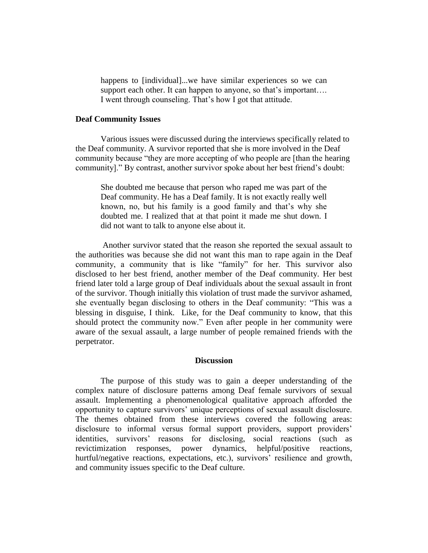happens to [individual]...we have similar experiences so we can support each other. It can happen to anyone, so that's important.... I went through counseling. That's how I got that attitude.

## **Deaf Community Issues**

Various issues were discussed during the interviews specifically related to the Deaf community. A survivor reported that she is more involved in the Deaf community because "they are more accepting of who people are [than the hearing community]." By contrast, another survivor spoke about her best friend's doubt:

She doubted me because that person who raped me was part of the Deaf community. He has a Deaf family. It is not exactly really well known, no, but his family is a good family and that's why she doubted me. I realized that at that point it made me shut down. I did not want to talk to anyone else about it.

Another survivor stated that the reason she reported the sexual assault to the authorities was because she did not want this man to rape again in the Deaf community, a community that is like "family" for her. This survivor also disclosed to her best friend, another member of the Deaf community. Her best friend later told a large group of Deaf individuals about the sexual assault in front of the survivor. Though initially this violation of trust made the survivor ashamed, she eventually began disclosing to others in the Deaf community: "This was a blessing in disguise, I think. Like, for the Deaf community to know, that this should protect the community now." Even after people in her community were aware of the sexual assault, a large number of people remained friends with the perpetrator.

### **Discussion**

The purpose of this study was to gain a deeper understanding of the complex nature of disclosure patterns among Deaf female survivors of sexual assault. Implementing a phenomenological qualitative approach afforded the opportunity to capture survivors' unique perceptions of sexual assault disclosure. The themes obtained from these interviews covered the following areas: disclosure to informal versus formal support providers, support providers' identities, survivors' reasons for disclosing, social reactions (such as revictimization responses, power dynamics, helpful/positive reactions, hurtful/negative reactions, expectations, etc.), survivors' resilience and growth, and community issues specific to the Deaf culture.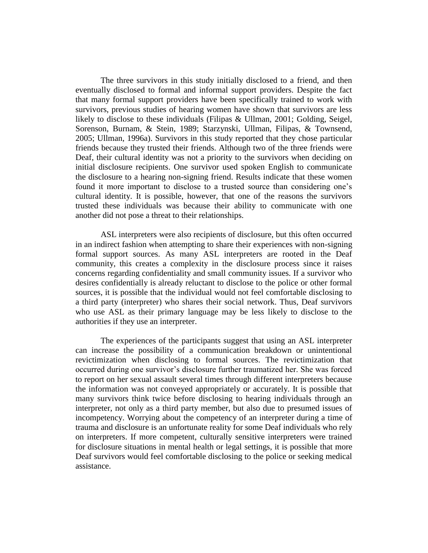The three survivors in this study initially disclosed to a friend, and then eventually disclosed to formal and informal support providers. Despite the fact that many formal support providers have been specifically trained to work with survivors, previous studies of hearing women have shown that survivors are less likely to disclose to these individuals (Filipas & Ullman, 2001; Golding, Seigel, Sorenson, Burnam, & Stein, 1989; Starzynski, Ullman, Filipas, & Townsend, 2005; Ullman, 1996a). Survivors in this study reported that they chose particular friends because they trusted their friends. Although two of the three friends were Deaf, their cultural identity was not a priority to the survivors when deciding on initial disclosure recipients. One survivor used spoken English to communicate the disclosure to a hearing non-signing friend. Results indicate that these women found it more important to disclose to a trusted source than considering one's cultural identity. It is possible, however, that one of the reasons the survivors trusted these individuals was because their ability to communicate with one another did not pose a threat to their relationships.

ASL interpreters were also recipients of disclosure, but this often occurred in an indirect fashion when attempting to share their experiences with non-signing formal support sources. As many ASL interpreters are rooted in the Deaf community, this creates a complexity in the disclosure process since it raises concerns regarding confidentiality and small community issues. If a survivor who desires confidentially is already reluctant to disclose to the police or other formal sources, it is possible that the individual would not feel comfortable disclosing to a third party (interpreter) who shares their social network. Thus, Deaf survivors who use ASL as their primary language may be less likely to disclose to the authorities if they use an interpreter.

The experiences of the participants suggest that using an ASL interpreter can increase the possibility of a communication breakdown or unintentional revictimization when disclosing to formal sources. The revictimization that occurred during one survivor's disclosure further traumatized her. She was forced to report on her sexual assault several times through different interpreters because the information was not conveyed appropriately or accurately. It is possible that many survivors think twice before disclosing to hearing individuals through an interpreter, not only as a third party member, but also due to presumed issues of incompetency. Worrying about the competency of an interpreter during a time of trauma and disclosure is an unfortunate reality for some Deaf individuals who rely on interpreters. If more competent, culturally sensitive interpreters were trained for disclosure situations in mental health or legal settings, it is possible that more Deaf survivors would feel comfortable disclosing to the police or seeking medical assistance.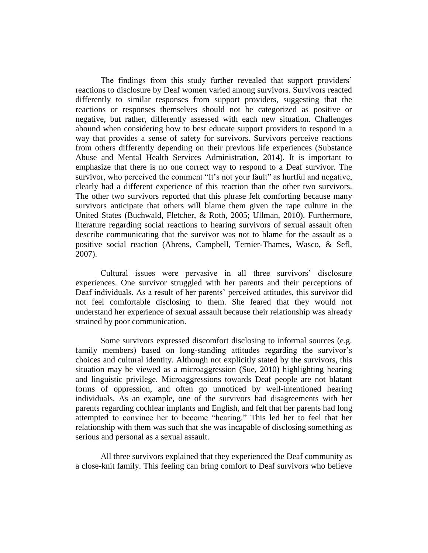The findings from this study further revealed that support providers' reactions to disclosure by Deaf women varied among survivors. Survivors reacted differently to similar responses from support providers, suggesting that the reactions or responses themselves should not be categorized as positive or negative, but rather, differently assessed with each new situation. Challenges abound when considering how to best educate support providers to respond in a way that provides a sense of safety for survivors. Survivors perceive reactions from others differently depending on their previous life experiences (Substance Abuse and Mental Health Services Administration, 2014). It is important to emphasize that there is no one correct way to respond to a Deaf survivor. The survivor, who perceived the comment "It's not your fault" as hurtful and negative, clearly had a different experience of this reaction than the other two survivors. The other two survivors reported that this phrase felt comforting because many survivors anticipate that others will blame them given the rape culture in the United States (Buchwald, Fletcher, & Roth, 2005; Ullman, 2010). Furthermore, literature regarding social reactions to hearing survivors of sexual assault often describe communicating that the survivor was not to blame for the assault as a positive social reaction (Ahrens, Campbell, Ternier-Thames, Wasco, & Sefl, 2007).

Cultural issues were pervasive in all three survivors' disclosure experiences. One survivor struggled with her parents and their perceptions of Deaf individuals. As a result of her parents' perceived attitudes, this survivor did not feel comfortable disclosing to them. She feared that they would not understand her experience of sexual assault because their relationship was already strained by poor communication.

Some survivors expressed discomfort disclosing to informal sources (e.g. family members) based on long-standing attitudes regarding the survivor's choices and cultural identity. Although not explicitly stated by the survivors, this situation may be viewed as a microaggression (Sue, 2010) highlighting hearing and linguistic privilege. Microaggressions towards Deaf people are not blatant forms of oppression, and often go unnoticed by well-intentioned hearing individuals. As an example, one of the survivors had disagreements with her parents regarding cochlear implants and English, and felt that her parents had long attempted to convince her to become "hearing." This led her to feel that her relationship with them was such that she was incapable of disclosing something as serious and personal as a sexual assault.

All three survivors explained that they experienced the Deaf community as a close-knit family. This feeling can bring comfort to Deaf survivors who believe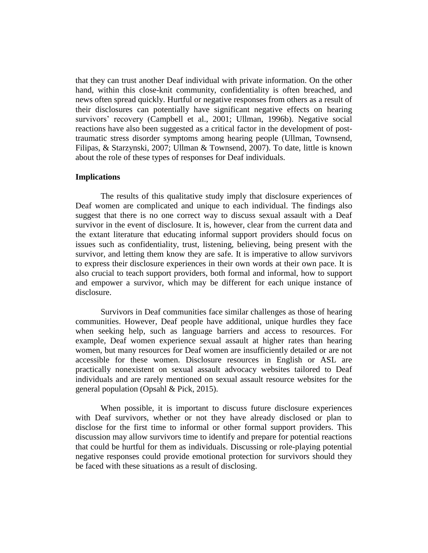that they can trust another Deaf individual with private information. On the other hand, within this close-knit community, confidentiality is often breached, and news often spread quickly. Hurtful or negative responses from others as a result of their disclosures can potentially have significant negative effects on hearing survivors' recovery (Campbell et al., 2001; Ullman, 1996b). Negative social reactions have also been suggested as a critical factor in the development of posttraumatic stress disorder symptoms among hearing people (Ullman, Townsend, Filipas, & Starzynski, 2007; Ullman & Townsend, 2007). To date, little is known about the role of these types of responses for Deaf individuals.

## **Implications**

The results of this qualitative study imply that disclosure experiences of Deaf women are complicated and unique to each individual. The findings also suggest that there is no one correct way to discuss sexual assault with a Deaf survivor in the event of disclosure. It is, however, clear from the current data and the extant literature that educating informal support providers should focus on issues such as confidentiality, trust, listening, believing, being present with the survivor, and letting them know they are safe. It is imperative to allow survivors to express their disclosure experiences in their own words at their own pace. It is also crucial to teach support providers, both formal and informal, how to support and empower a survivor, which may be different for each unique instance of disclosure.

Survivors in Deaf communities face similar challenges as those of hearing communities. However, Deaf people have additional, unique hurdles they face when seeking help, such as language barriers and access to resources. For example, Deaf women experience sexual assault at higher rates than hearing women, but many resources for Deaf women are insufficiently detailed or are not accessible for these women. Disclosure resources in English or ASL are practically nonexistent on sexual assault advocacy websites tailored to Deaf individuals and are rarely mentioned on sexual assault resource websites for the general population (Opsahl & Pick, 2015).

When possible, it is important to discuss future disclosure experiences with Deaf survivors, whether or not they have already disclosed or plan to disclose for the first time to informal or other formal support providers. This discussion may allow survivors time to identify and prepare for potential reactions that could be hurtful for them as individuals. Discussing or role-playing potential negative responses could provide emotional protection for survivors should they be faced with these situations as a result of disclosing.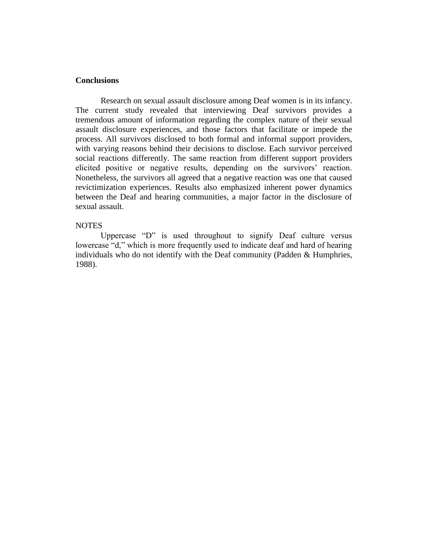# **Conclusions**

Research on sexual assault disclosure among Deaf women is in its infancy. The current study revealed that interviewing Deaf survivors provides a tremendous amount of information regarding the complex nature of their sexual assault disclosure experiences, and those factors that facilitate or impede the process. All survivors disclosed to both formal and informal support providers, with varying reasons behind their decisions to disclose. Each survivor perceived social reactions differently. The same reaction from different support providers elicited positive or negative results, depending on the survivors' reaction. Nonetheless, the survivors all agreed that a negative reaction was one that caused revictimization experiences. Results also emphasized inherent power dynamics between the Deaf and hearing communities, a major factor in the disclosure of sexual assault.

### **NOTES**

Uppercase "D" is used throughout to signify Deaf culture versus lowercase "d," which is more frequently used to indicate deaf and hard of hearing individuals who do not identify with the Deaf community (Padden & Humphries, 1988).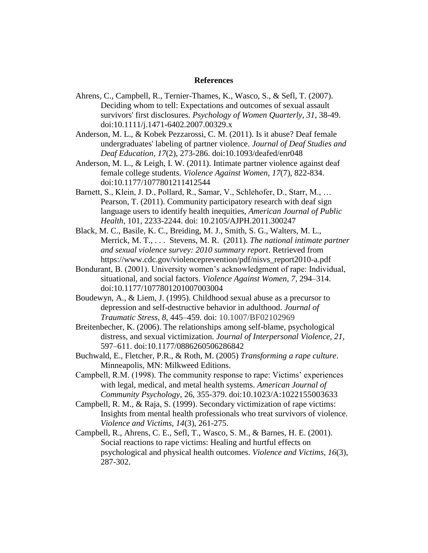#### **References**

- Ahrens, C., Campbell, R., Ternier-Thames, K., Wasco, S., & Sefl, T. (2007). Deciding whom to tell: Expectations and outcomes of sexual assault survivors' first disclosures. *Psychology of Women Quarterly, 31*, 38-49. doi:10.1111/j.1471-6402.2007.00329.x
- Anderson, M. L., & Kobek Pezzarossi, C. M. (2011). Is it abuse? Deaf female undergraduates' labeling of partner violence. *Journal of Deaf Studies and Deaf Education*, *17*(2), 273-286. doi:10.1093/deafed/enr048
- Anderson, M. L., & Leigh, I. W. (2011). Intimate partner violence against deaf female college students. *Violence Against Women, 17*(7), 822-834. doi:10.1177/1077801211412544
- Barnett, S., Klein, J. D., Pollard, R., Samar, V., Schlehofer, D., Starr, M., … Pearson, T. (2011). Community participatory research with deaf sign language users to identify health inequities, *American Journal of Public Health*, 101, 2233-2244. doi: 10.2105/AJPH.2011.300247
- Black, M. C., Basile, K. C., Breiding, M. J., Smith, S. G., Walters, M. L., Merrick, M. T., . . . Stevens, M. R. (2011). *The national intimate partner and sexual violence survey: 2010 summary report*. Retrieved from https://www.cdc.gov/violenceprevention/pdf/nisvs\_report2010-a.pdf
- Bondurant, B. (2001). University women's acknowledgment of rape: Individual, situational, and social factors. *Violence Against Women*, *7,* 294–314. doi:10.1177/1077801201007003004
- Boudewyn, A., & Liem, J. (1995). Childhood sexual abuse as a precursor to depression and self-destructive behavior in adulthood. *Journal of Traumatic Stress, 8,* 445–459. doi: 10.1007/BF02102969
- Breitenbecher, K. (2006). The relationships among self-blame, psychological distress, and sexual victimization. *Journal of Interpersonal Violence, 21,*  597–611. doi:10.1177/0886260506286842
- Buchwald, E., Fletcher, P.R., & Roth, M. (2005) *Transforming a rape culture*. Minneapolis, MN: Milkweed Editions.
- Campbell, R.M. (1998). The community response to rape: Victims' experiences with legal, medical, and metal health systems. *American Journal of Community Psychology*, 26, 355-379. doi:10.1023/A:1022155003633
- Campbell, R. M., & Raja, S. (1999). Secondary victimization of rape victims: Insights from mental health professionals who treat survivors of violence. *Violence and Victims, 14*(3), 261-275.
- Campbell, R., Ahrens, C. E., Sefl, T., Wasco, S. M., & Barnes, H. E. (2001). Social reactions to rape victims: Healing and hurtful effects on psychological and physical health outcomes. *Violence and Victims, 16*(3), 287-302.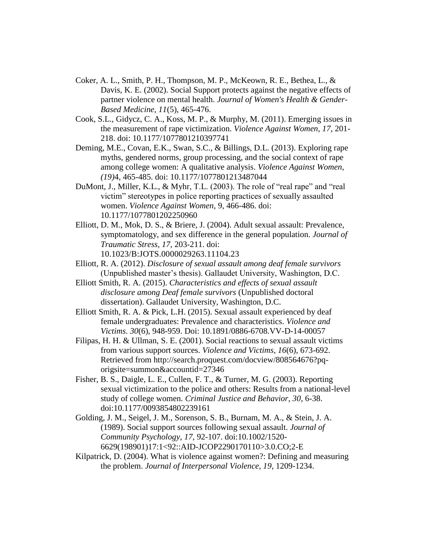- Coker, A. L., Smith, P. H., Thompson, M. P., McKeown, R. E., Bethea, L., & Davis, K. E. (2002). Social Support protects against the negative effects of partner violence on mental health. *Journal of Women's Health & Gender-Based Medicine, 11*(5), 465-476.
- Cook, S.L., Gidycz, C. A., Koss, M. P., & Murphy, M. (2011). Emerging issues in the measurement of rape victimization. *Violence Against Women, 17*, 201- 218. doi: [10.1177/1077801210397741](https://doi.org/10.1177/1077801210397741)
- Deming, M.E., Covan, E.K., Swan, S.C., & Billings, D.L. (2013). Exploring rape myths, gendered norms, group processing, and the social context of rape among college women: A qualitative analysis. *Violence Against Women*, *(19)*4, 465-485. doi: 10.1177/1077801213487044
- DuMont, J., Miller, K.L., & Myhr, T.L. (2003). The role of "real rape" and "real victim" stereotypes in police reporting practices of sexually assaulted women. *Violence Against Women*, 9, 466-486. doi: [10.1177/1077801202250960](https://doi.org/10.1177/1077801202250960)
- Elliott, D. M., Mok, D. S., & Briere, J. (2004). Adult sexual assault: Prevalence, symptomatology, and sex difference in the general population. *Journal of Traumatic Stress, 17*, 203-211. doi: 10.1023/B:JOTS.0000029263.11104.23
- Elliott, R. A. (2012). *Disclosure of sexual assault among deaf female survivors*  (Unpublished master's thesis). Gallaudet University, Washington, D.C.
- Elliott Smith, R. A. (2015). *Characteristics and effects of sexual assault disclosure among Deaf female survivors* (Unpublished doctoral dissertation). Gallaudet University, Washington, D.C.
- Elliott Smith, R. A. & Pick, L.H. (2015). Sexual assault experienced by deaf female undergraduates: Prevalence and characteristics. *Violence and Victims*. *30*(6), 948-959. Doi: [10.1891/0886-6708.VV-D-14-00057](https://doi.org/10.1891/0886-6708.VV-D-14-00057)
- Filipas, H. H. & Ullman, S. E. (2001). Social reactions to sexual assault victims from various support sources. *Violence and Victims, 16*(6), 673-692. Retrieved from http://search.proquest.com/docview/808564676?pqorigsite=summon&accountid=27346
- Fisher, B. S., Daigle, L. E., Cullen, F. T., & Turner, M. G. (2003). Reporting sexual victimization to the police and others: Results from a national-level study of college women. *Criminal Justice and Behavior, 30*, 6-38. doi:10.1177/0093854802239161
- Golding, J. M., Seigel, J. M., Sorenson, S. B., Burnam, M. A., & Stein, J. A. (1989). Social support sources following sexual assault. *Journal of Community Psychology, 17*, 92-107. doi:10.1002/1520- 6629(198901)17:1<92::AID-JCOP2290170110>3.0.CO;2-E
- Kilpatrick, D. (2004). What is violence against women?: Defining and measuring the problem. *Journal of Interpersonal Violence, 19*, 1209-1234.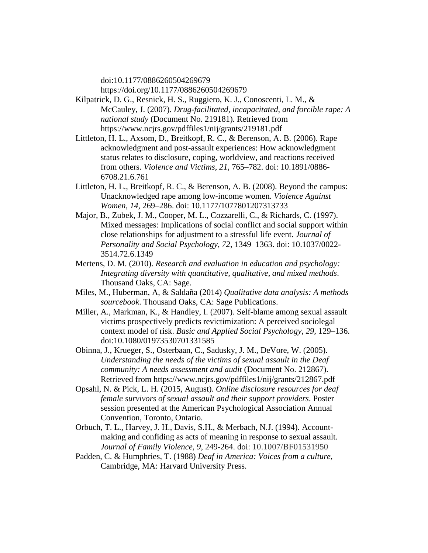doi:10.1177/0886260504269679 <https://doi.org/10.1177/0886260504269679>

- Kilpatrick, D. G., Resnick, H. S., Ruggiero, K. J., Conoscenti, L. M., & McCauley, J. (2007). *Drug-facilitated, incapacitated, and forcible rape: A national study* (Document No. 219181)*.* Retrieved from https://www.ncjrs.gov/pdffiles1/nij/grants/219181.pdf
- Littleton, H. L., Axsom, D., Breitkopf, R. C., & Berenson, A. B. (2006). Rape acknowledgment and post-assault experiences: How acknowledgment status relates to disclosure, coping, worldview, and reactions received from others. *Violence and Victims*, *21,* 765–782. doi: 10.1891/0886- 6708.21.6.761
- Littleton, H. L., Breitkopf, R. C., & Berenson, A. B. (2008). Beyond the campus: Unacknowledged rape among low-income women. *Violence Against Women*, *14,* 269–286. doi: 10.1177/1077801207313733
- Major, B., Zubek, J. M., Cooper, M. L., Cozzarelli, C., & Richards, C. (1997). Mixed messages: Implications of social conflict and social support within close relationships for adjustment to a stressful life event. *Journal of Personality and Social Psychology, 72,* 1349–1363. doi: 10.1037/0022- 3514.72.6.1349
- Mertens, D. M. (2010). *Research and evaluation in education and psychology: Integrating diversity with quantitative, qualitative, and mixed methods*. Thousand Oaks, CA: Sage.
- Miles, M., Huberman, A, & Saldaña (2014) *Qualitative data analysis: A methods sourcebook*. Thousand Oaks, CA: Sage Publications.
- Miller, A., Markman, K., & Handley, I. (2007). Self-blame among sexual assault victims prospectively predicts revictimization: A perceived sociolegal context model of risk. *Basic and Applied Social Psychology, 29,* 129–136. doi:10.1080/01973530701331585
- Obinna, J., Krueger, S., Osterbaan, C., Sadusky, J. M., DeVore, W. (2005). *Understanding the needs of the victims of sexual assault in the Deaf community: A needs assessment and audit* (Document No. 212867). Retrieved from<https://www.ncjrs.gov/pdffiles1/nij/grants/212867.pdf>
- Opsahl, N. & Pick, L. H. (2015, August). *Online disclosure resources for deaf female survivors of sexual assault and their support providers*. Poster session presented at the American Psychological Association Annual Convention, Toronto*,* Ontario.
- Orbuch, T. L., Harvey, J. H., Davis, S.H., & Merbach, N.J. (1994). Accountmaking and confiding as acts of meaning in response to sexual assault. *Journal of Family Violence, 9*, 249-264. doi: 10.1007/BF01531950
- Padden, C. & Humphries, T. (1988) *Deaf in America: Voices from a culture,*  Cambridge, MA: Harvard University Press.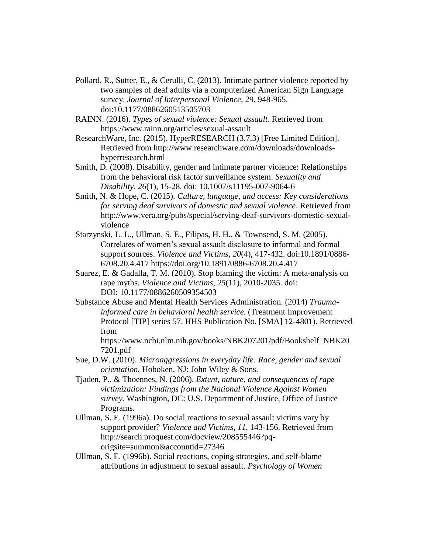- Pollard, R., Sutter, E., & Cerulli, C. (2013). Intimate partner violence reported by two samples of deaf adults via a computerized American Sign Language survey. *Journal of Interpersonal Violence,* 29, 948-965. doi[:10.1177/0886260513505703](https://doi.org/10.1177/0886260513505703)
- RAINN. (2016). *Types of sexual violence: Sexual assault*. Retrieved from https://www.rainn.org/articles/sexual-assault
- ResearchWare, Inc. (2015). HyperRESEARCH (3.7.3) [Free Limited Edition]. Retrieved from [http://www.researchware.com/downloads/downloads](http://www.researchware.com/downloads/downloads-hyperresearch.html)[hyperresearch.html](http://www.researchware.com/downloads/downloads-hyperresearch.html)
- Smith, D. (2008). Disability, gender and intimate partner violence: Relationships from the behavioral risk factor surveillance system. *Sexuality and Disability, 26*(1), 15-28. doi: 10.1007/s11195-007-9064-6
- Smith, N. & Hope, C. (2015). *Culture, language, and access: Key considerations for serving deaf survivors of domestic and sexual violence*. Retrieved from [http://www.vera.org/pubs/special/serving-deaf-survivors-domestic-sexual](http://www.vera.org/pubs/special/serving-deaf-survivors-domestic-sexual-violence)[violence](http://www.vera.org/pubs/special/serving-deaf-survivors-domestic-sexual-violence)
- Starzynski, L. L., Ullman, S. E., Filipas, H. H., & Townsend, S. M. (2005). Correlates of women's sexual assault disclosure to informal and formal support sources. *Violence and Victims, 20*(4), 417-432. doi:10.1891/0886- 6708.20.4.417<https://doi.org/10.1891/0886-6708.20.4.417>
- Suarez, E. & Gadalla, T. M. (2010). Stop blaming the victim: A meta-analysis on rape myths. *Violence and Victims*, *25*(11), 2010-2035. doi: DOI: 10.1177/0886260509354503
- Substance Abuse and Mental Health Services Administration. (2014) *Traumainformed care in behavioral health service.* (Treatment Improvement Protocol [TIP] series 57. HHS Publication No. [SMA] 12-4801). Retrieved from
	- https://www.ncbi.nlm.nih.gov/books/NBK207201/pdf/Bookshelf\_NBK20 7201.pdf
- Sue, D.W. (2010). *Microaggressions in everyday life: Race, gender and sexual orientation.* Hoboken, NJ: John Wiley & Sons.
- Tjaden, P., & Thoennes, N. (2006). *Extent, nature, and consequences of rape victimization: Findings from the National Violence Against Women survey.* Washington, DC: U.S. Department of Justice, Office of Justice Programs.
- Ullman, S. E. (1996a). Do social reactions to sexual assault victims vary by support provider? *Violence and Victims, 11*, 143-156. Retrieved from http://search.proquest.com/docview/208555446?pqorigsite=summon&accountid=27346
- Ullman, S. E. (1996b). Social reactions, coping strategies, and self-blame attributions in adjustment to sexual assault. *Psychology of Women*